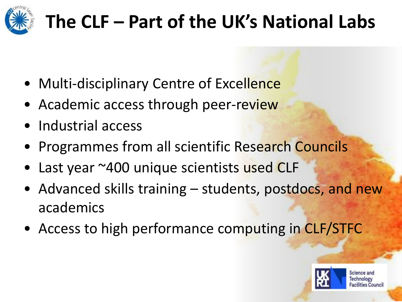

# **The CLF – Part of the UK's National Labs**

- Multi-disciplinary Centre of Excellence
- Academic access through peer-review
- Industrial access
- Programmes from all scientific Research Councils
- Last year ~400 unique scientists used CLF
- Advanced skills training students, postdocs, and new academics
- Access to high performance computing in CLF/STFC

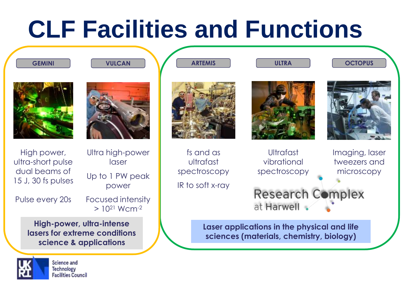# **CLF Facilities and Functions**



**GEMINI VULCAN**



**ARTEMIS ULTRA OCTOPUS**













High power, ultra-short pulse dual beams of 15 J, 30 fs pulses

Pulse every 20s

Ultra high-power laser Up to 1 PW peak power

Focused intensity  $> 10^{21}$  Wcm<sup>-2</sup>

**High-power, ultra-intense lasers for extreme conditions science & applications**



Science and **Technology Facilities Council** 

fs and as ultrafast spectroscopy

IR to soft x-ray

**Ultrafast** vibrational spectroscopy Imaging, laser tweezers and microscopy

Research Complex at Harwell

**Laser applications in the physical and life sciences (materials, chemistry, biology)**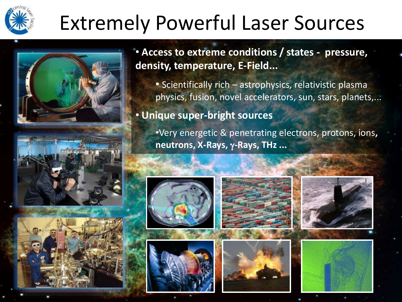# Extremely Powerful Laser Sources





• **Access to extreme conditions / states - pressure, density, temperature, E-Field...**

• Scientifically rich – astrophysics, relativistic plasma physics, fusion, novel accelerators, sun, stars, planets,...

#### • **Unique super-bright sources**

•Very energetic & penetrating electrons, protons, ions**, neutrons, X-Rays,** g**-Rays, THz ...**











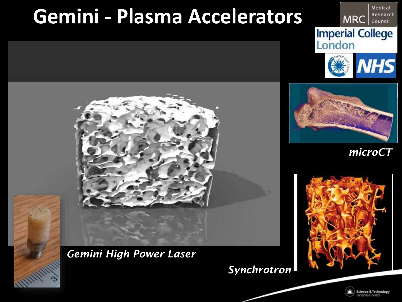## **Gemini - Plasma Accelerators**

#### Research **MRC** Council **Imperial College**<br>London

Medical





*microCT*





*Synchrotron*

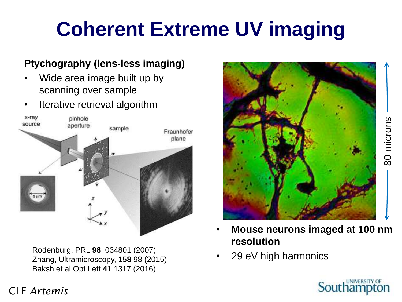# **Coherent Extreme UV imaging**

#### **Ptychography (lens-less imaging)**

- Wide area image built up by scanning over sample
- Iterative retrieval algorithm



Rodenburg, PRL **98**, 034801 (2007) Zhang, Ultramicroscopy, **158** 98 (2015) Baksh et al Opt Lett **41** 1317 (2016)



- **Mouse neurons imaged at 100 nm resolution**
- 29 eV high harmonics



#### CLF *Artemis*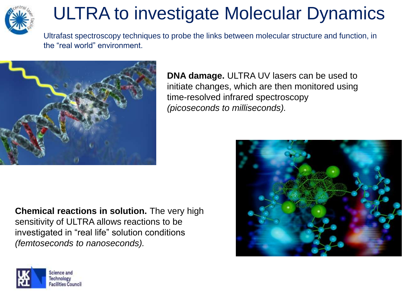

### ULTRA to investigate Molecular Dynamics

Ultrafast spectroscopy techniques to probe the links between molecular structure and function, in the "real world" environment.



**DNA damage.** ULTRA UV lasers can be used to initiate changes, which are then monitored using time-resolved infrared spectroscopy *(picoseconds to milliseconds).*

**Chemical reactions in solution.** The very high sensitivity of ULTRA allows reactions to be investigated in "real life" solution conditions *(femtoseconds to nanoseconds).*